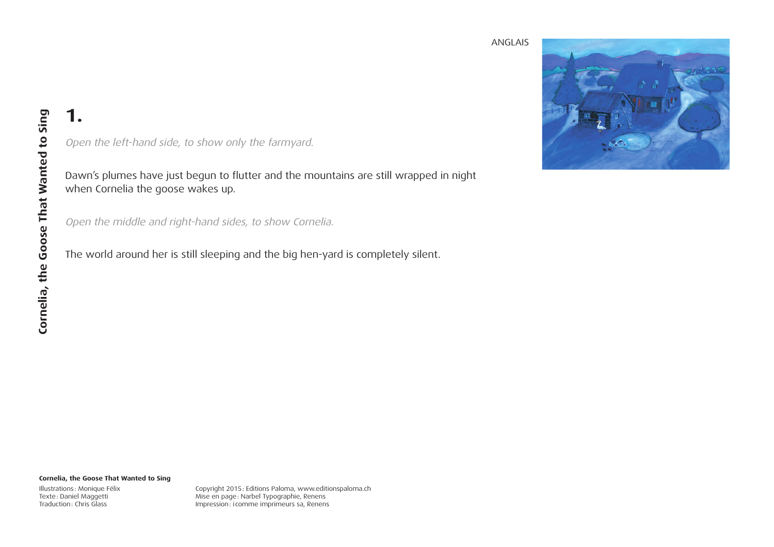

Open the left-hand side, to show only the farmyard.

Dawn's plumes have just begun to flutter and the mountains are still wrapped in night when Cornelia the goose wakes up.

Open the middle and right-hand sides, to show Cornelia.

The world around her is still sleeping and the big hen-yard is completely silent.

#### **Cornelia, the Goose That Wanted to Sing**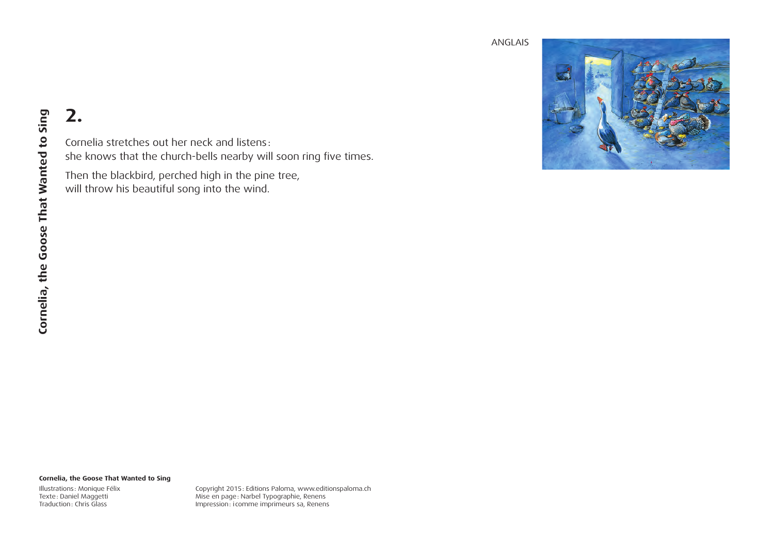

## **2.**

Cornelia stretches out her neck and listens: she knows that the church-bells nearby will soon ring five times.

Then the blackbird, perched high in the pine tree, will throw his beautiful song into the wind.

#### **Cornelia, the Goose That Wanted to Sing**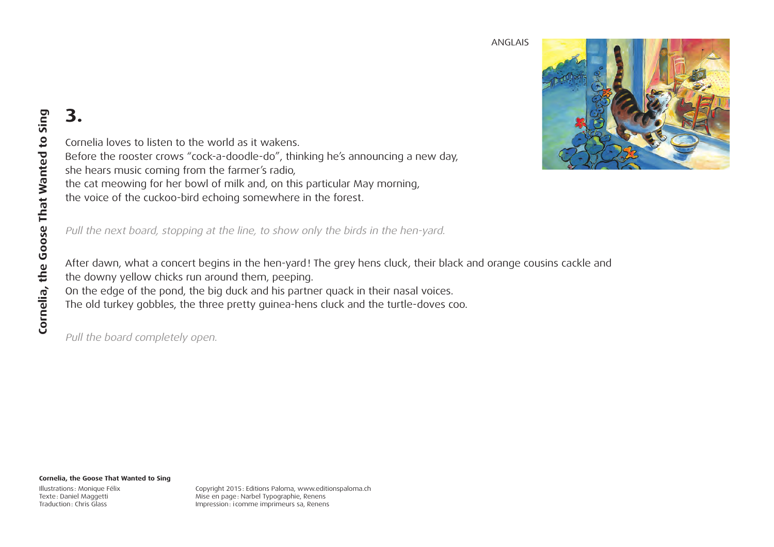

Cornelia loves to listen to the world as it wakens. Before the rooster crows "cock-a-doodle-do", thinking he's announcing a new day, she hears music coming from the farmer's radio, the cat meowing for her bowl of milk and, on this particular May morning, the voice of the cuckoo-bird echoing somewhere in the forest.

Pull the next board, stopping at the line, to show only the birds in the hen-yard.

After dawn, what a concert begins in the hen-yard! The grey hens cluck, their black and orange cousins cackle and the downy yellow chicks run around them, peeping. On the edge of the pond, the big duck and his partner quack in their nasal voices. The old turkey gobbles, the three pretty guinea-hens cluck and the turtle-doves coo.

Pull the board completely open.

#### **Cornelia, the Goose That Wanted to Sing**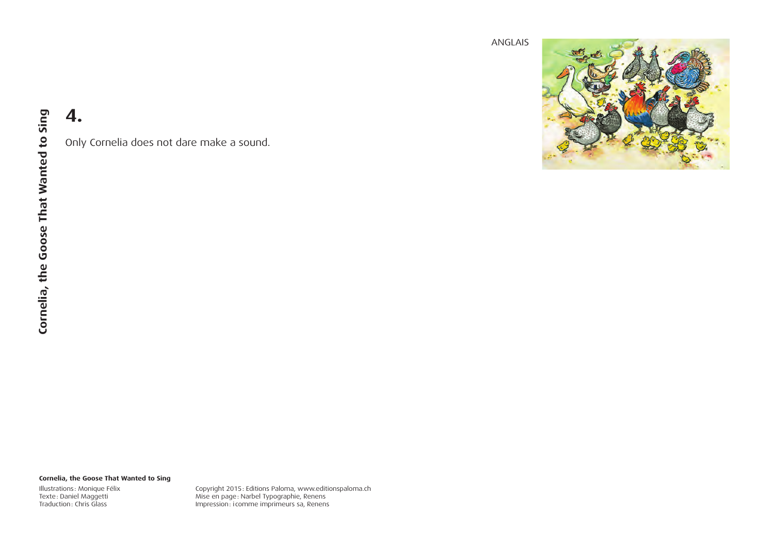

Only Cornelia does not dare make a sound.

#### **Cornelia, the Goose That Wanted to Sing**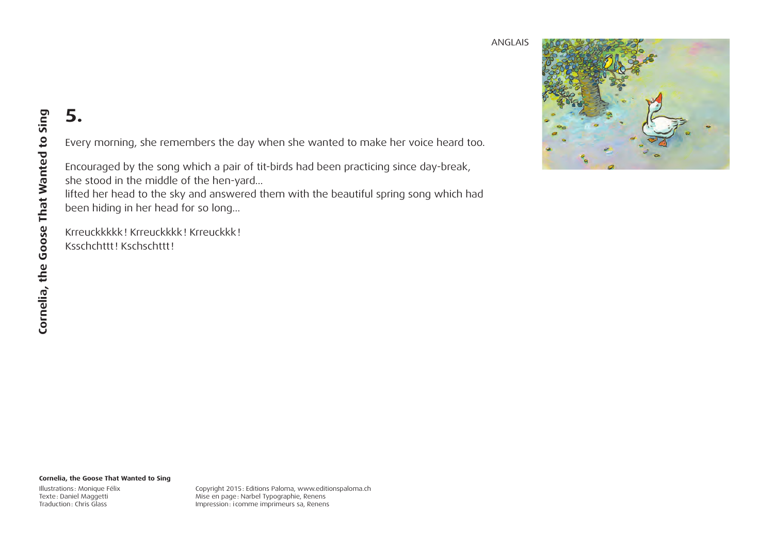

Every morning, she remembers the day when she wanted to make her voice heard too.

Encouraged by the song which a pair of tit-birds had been practicing since day-break, she stood in the middle of the hen-yard…

lifted her head to the sky and answered them with the beautiful spring song which had been hiding in her head for so long…

Krreuckkkkk! Krreuckkkk! Krreuckkk! Ksschchttt! Kschschttt!

#### **Cornelia, the Goose That Wanted to Sing**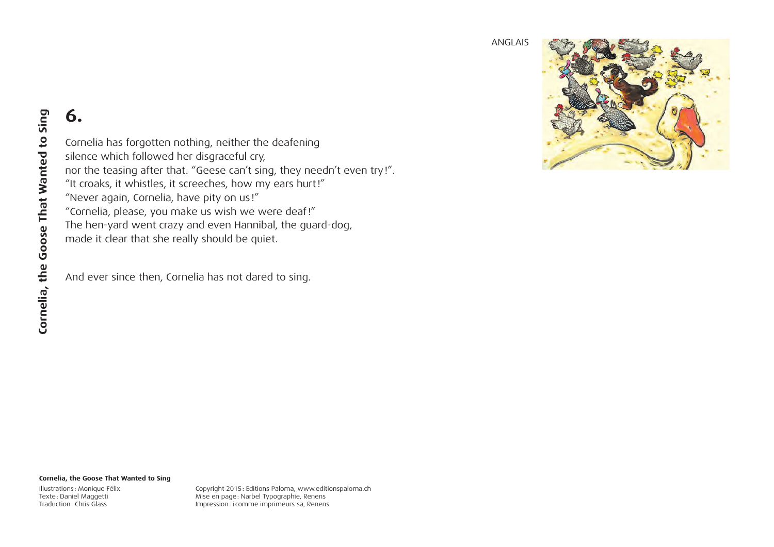

### **6.**

Cornelia has forgotten nothing, neither the deafening silence which followed her disgraceful cry, nor the teasing after that. "Geese can't sing, they needn't even try!". "It croaks, it whistles, it screeches, how my ears hurt!" "Never again, Cornelia, have pity on us!" "Cornelia, please, you make us wish we were deaf!" The hen-yard went crazy and even Hannibal, the guard-dog, made it clear that she really should be quiet.

And ever since then, Cornelia has not dared to sing.

#### **Cornelia, the Goose That Wanted to Sing**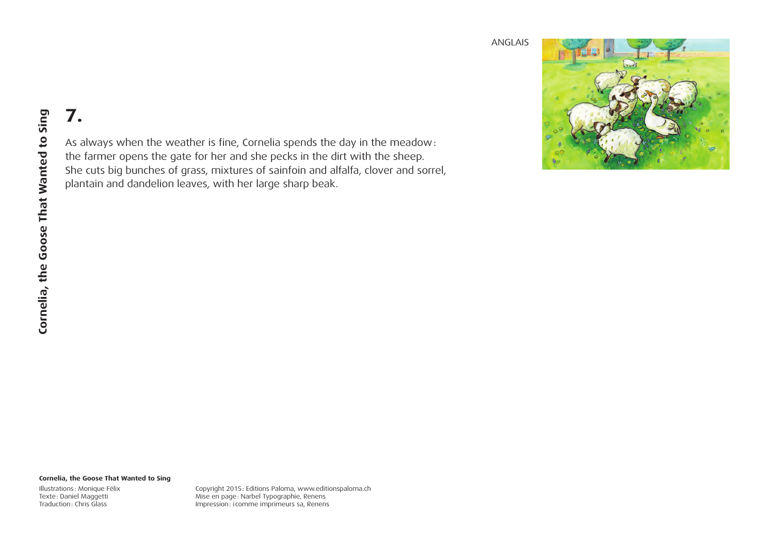

# **7.**

As always when the weather is fine, Cornelia spends the day in the meadow: the farmer opens the gate for her and she pecks in the dirt with the sheep. She cuts big bunches of grass, mixtures of sainfoin and alfalfa, clover and sorrel, plantain and dandelion leaves, with her large sharp beak.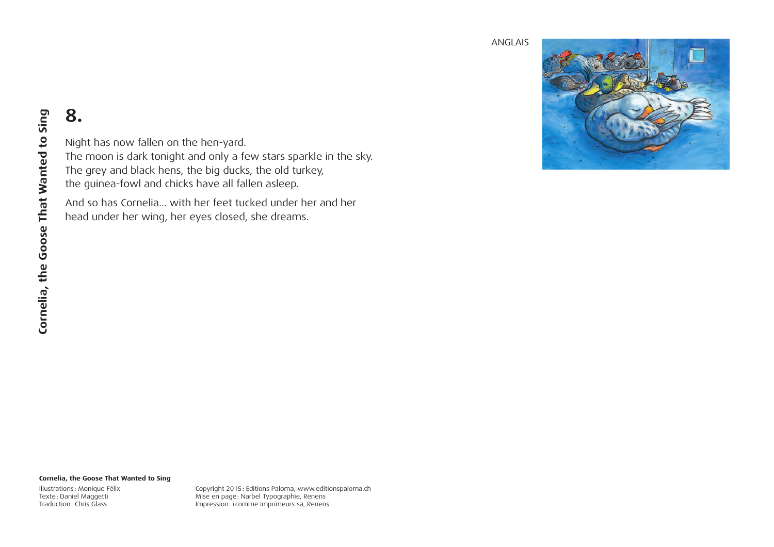

Night has now fallen on the hen-yard. The moon is dark tonight and only a few stars sparkle in the sky. The grey and black hens, the big ducks, the old turkey, the guinea-fowl and chicks have all fallen asleep.

And so has Cornelia... with her feet tucked under her and her head under her wing, her eyes closed, she dreams.

#### **Cornelia, the Goose That Wanted to Sing**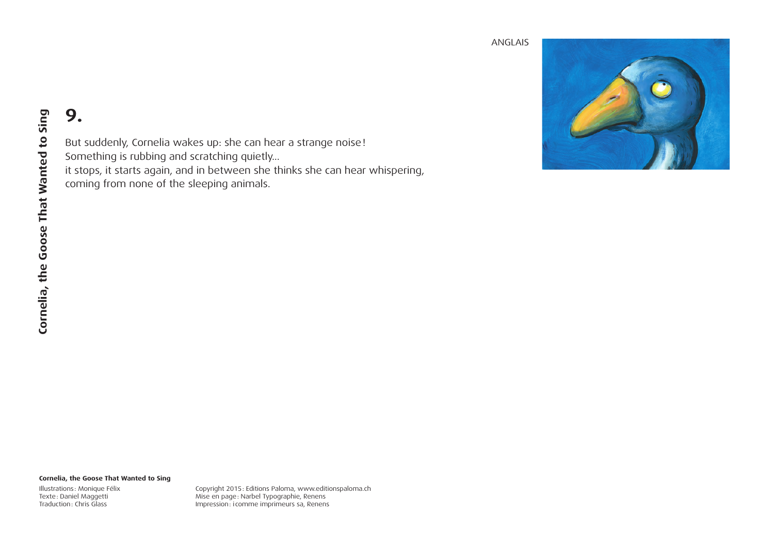

But suddenly, Cornelia wakes up: she can hear a strange noise! Something is rubbing and scratching quietly... it stops, it starts again, and in between she thinks she can hear whispering, coming from none of the sleeping animals.

#### **Cornelia, the Goose That Wanted to Sing**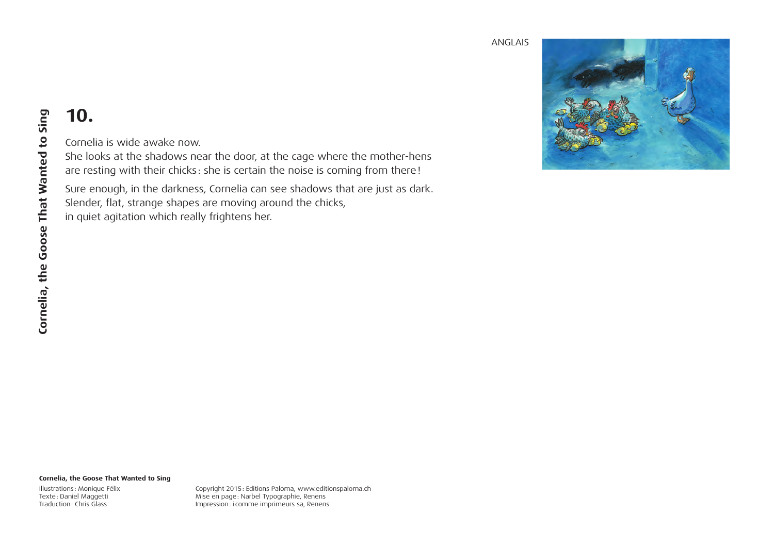

## **10.**

Cornelia is wide awake now.

She looks at the shadows near the door, at the cage where the mother-hens are resting with their chicks: she is certain the noise is coming from there!

Sure enough, in the darkness, Cornelia can see shadows that are just as dark. Slender, flat, strange shapes are moving around the chicks, in quiet agitation which really frightens her.

#### **Cornelia, the Goose That Wanted to Sing**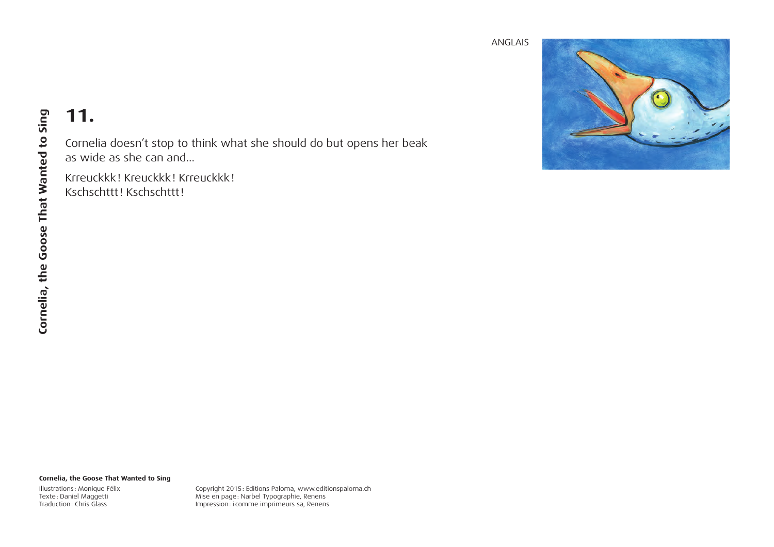

## **11.**

Cornelia doesn't stop to think what she should do but opens her beak as wide as she can and...

Krreuckkk! Kreuckkk! Krreuckkk! Kschschttt! Kschschttt!

#### **Cornelia, the Goose That Wanted to Sing**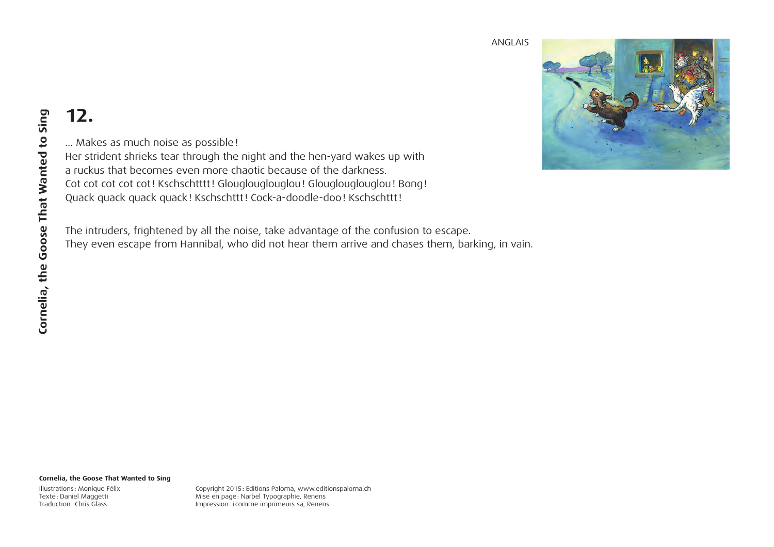

… Makes as much noise as possible! Her strident shrieks tear through the night and the hen-yard wakes up with a ruckus that becomes even more chaotic because of the darkness. Cot cot cot cot! Kschschtttt! Glouglouglouglou! Glouglouglouglou! Bong! Quack quack quack quack! Kschschttt! Cock-a-doodle-doo! Kschschttt!

The intruders, frightened by all the noise, take advantage of the confusion to escape. They even escape from Hannibal, who did not hear them arrive and chases them, barking, in vain.

#### **Cornelia, the Goose That Wanted to Sing**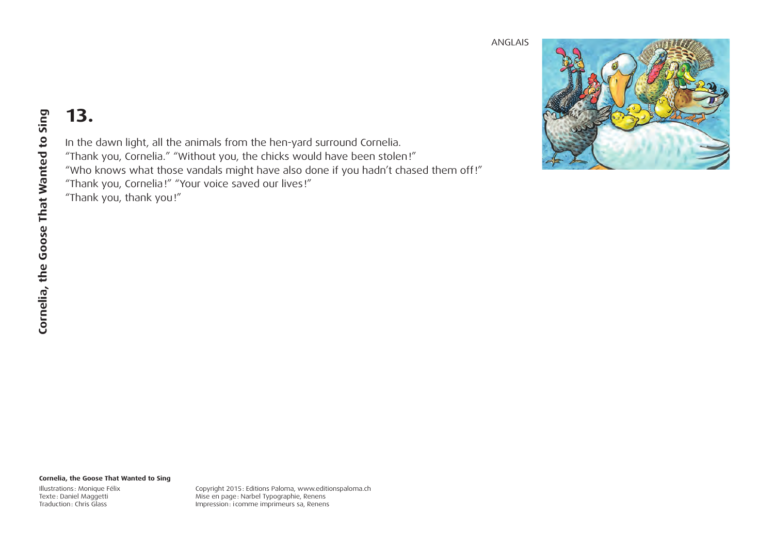

In the dawn light, all the animals from the hen-yard surround Cornelia. "Thank you, Cornelia." "Without you, the chicks would have been stolen!" "Who knows what those vandals might have also done if you hadn't chased them off!" "Thank you, Cornelia!" "Your voice saved our lives!" "Thank you, thank you!"

#### **Cornelia, the Goose That Wanted to Sing**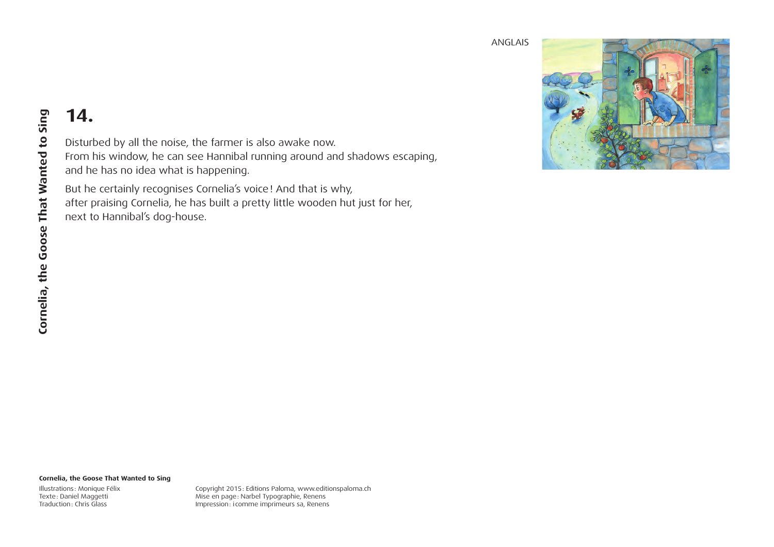

### **14.**

Disturbed by all the noise, the farmer is also awake now. From his window, he can see Hannibal running around and shadows escaping, and he has no idea what is happening.

But he certainly recognises Cornelia's voice! And that is why, after praising Cornelia, he has built a pretty little wooden hut just for her, next to Hannibal's dog-house.

#### **Cornelia, the Goose That Wanted to Sing**